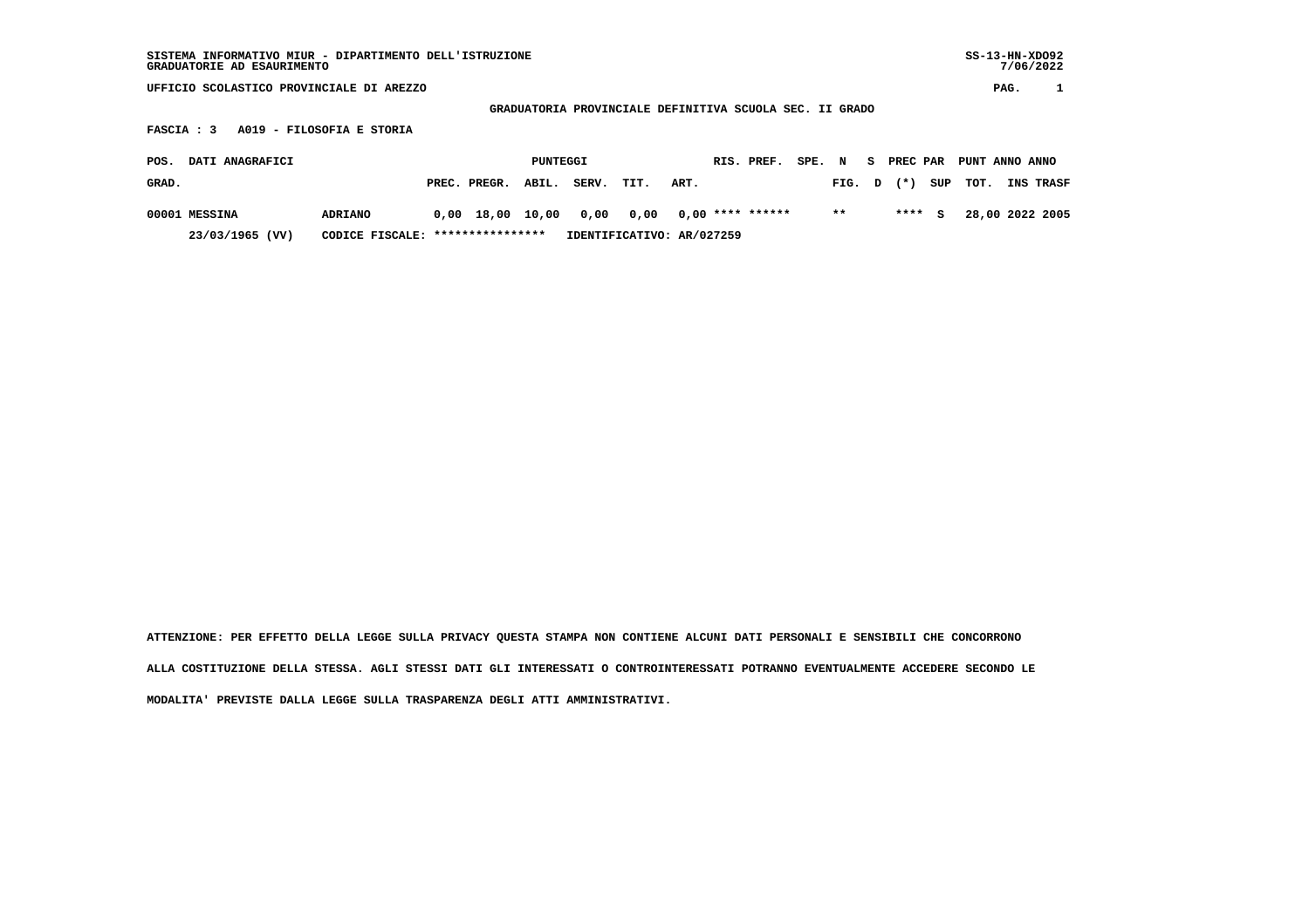## **GRADUATORIA PROVINCIALE DEFINITIVA SCUOLA SEC. II GRADO**

 **FASCIA : 3 A019 - FILOSOFIA E STORIA**

| POS.  | DATI ANAGRAFICI |                                  |                    | PUNTEGGI |                                               |      |      | RIS. PREF. | SPE. N | - S |        | PREC PAR PUNT ANNO ANNO |                               |
|-------|-----------------|----------------------------------|--------------------|----------|-----------------------------------------------|------|------|------------|--------|-----|--------|-------------------------|-------------------------------|
| GRAD. |                 |                                  | PREC. PREGR. ABIL. |          | SERV.                                         | TIT. | ART. |            |        |     |        |                         | FIG. D (*) SUP TOT. INS TRASF |
|       | 00001 MESSINA   | ADRIANO                          |                    |          | $0.00$ 18.00 10.00 0.00 0.00 0.00 **** ****** |      |      |            | $***$  |     | **** S |                         | 28,00 2022 2005               |
|       | 23/03/1965 (VV) | CODICE FISCALE: **************** |                    |          | IDENTIFICATIVO: AR/027259                     |      |      |            |        |     |        |                         |                               |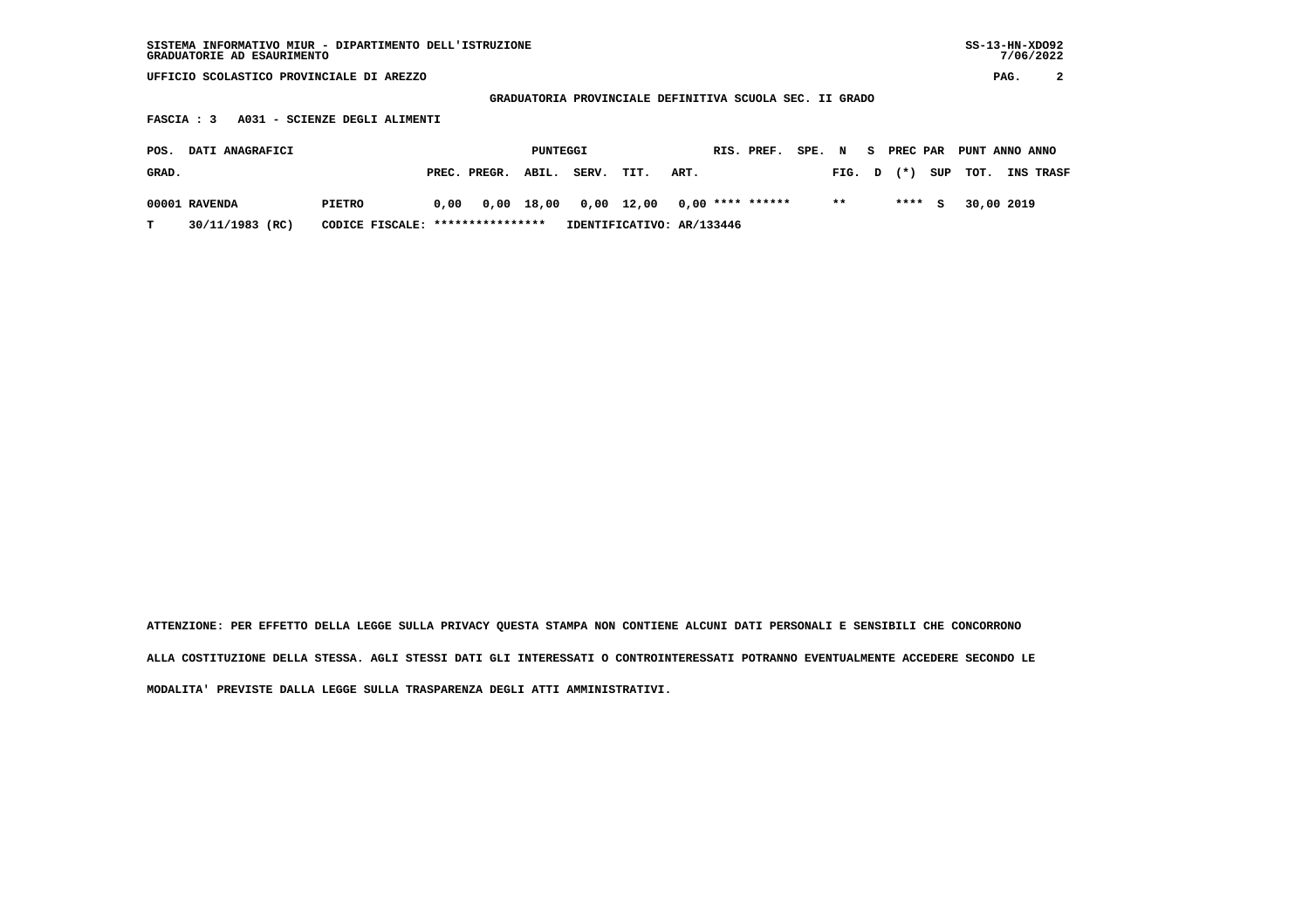| SISTEMA INFORMATIVO MIUR - DIPARTIMENTO DELL'ISTRUZIONE<br>GRADUATORIE AD ESAURIMENTO |                                          |      |              |          |                                                         |       |      |  |                    |        |       |    |          | $SS-13-HN-XDO92$<br>7/06/2022 |                |            |           |
|---------------------------------------------------------------------------------------|------------------------------------------|------|--------------|----------|---------------------------------------------------------|-------|------|--|--------------------|--------|-------|----|----------|-------------------------------|----------------|------------|-----------|
|                                                                                       | UFFICIO SCOLASTICO PROVINCIALE DI AREZZO |      |              |          |                                                         |       |      |  |                    |        |       |    |          |                               | PAG.           | 2          |           |
|                                                                                       |                                          |      |              |          | GRADUATORIA PROVINCIALE DEFINITIVA SCUOLA SEC. II GRADO |       |      |  |                    |        |       |    |          |                               |                |            |           |
| A031 - SCIENZE DEGLI ALIMENTI<br><b>FASCIA: 3</b>                                     |                                          |      |              |          |                                                         |       |      |  |                    |        |       |    |          |                               |                |            |           |
| DATI ANAGRAFICI<br>POS.                                                               |                                          |      |              | PUNTEGGI |                                                         |       |      |  | RIS. PREF.         | SPE. N |       | S. | PREC PAR |                               | PUNT ANNO ANNO |            |           |
| GRAD.                                                                                 |                                          |      | PREC. PREGR. | ABIL.    | SERV.                                                   | TIT.  | ART. |  |                    |        | FIG.  | D  | $(*)$    | SUP                           | TOT.           |            | INS TRASF |
| 00001 RAVENDA                                                                         | <b>PIETRO</b>                            | 0,00 | 0,00         | 18,00    | 0,00                                                    | 12,00 |      |  | $0,00$ **** ****** |        | $* *$ |    | ****     | s                             |                | 30,00 2019 |           |

 **T 30/11/1983 (RC) CODICE FISCALE: \*\*\*\*\*\*\*\*\*\*\*\*\*\*\*\* IDENTIFICATIVO: AR/133446**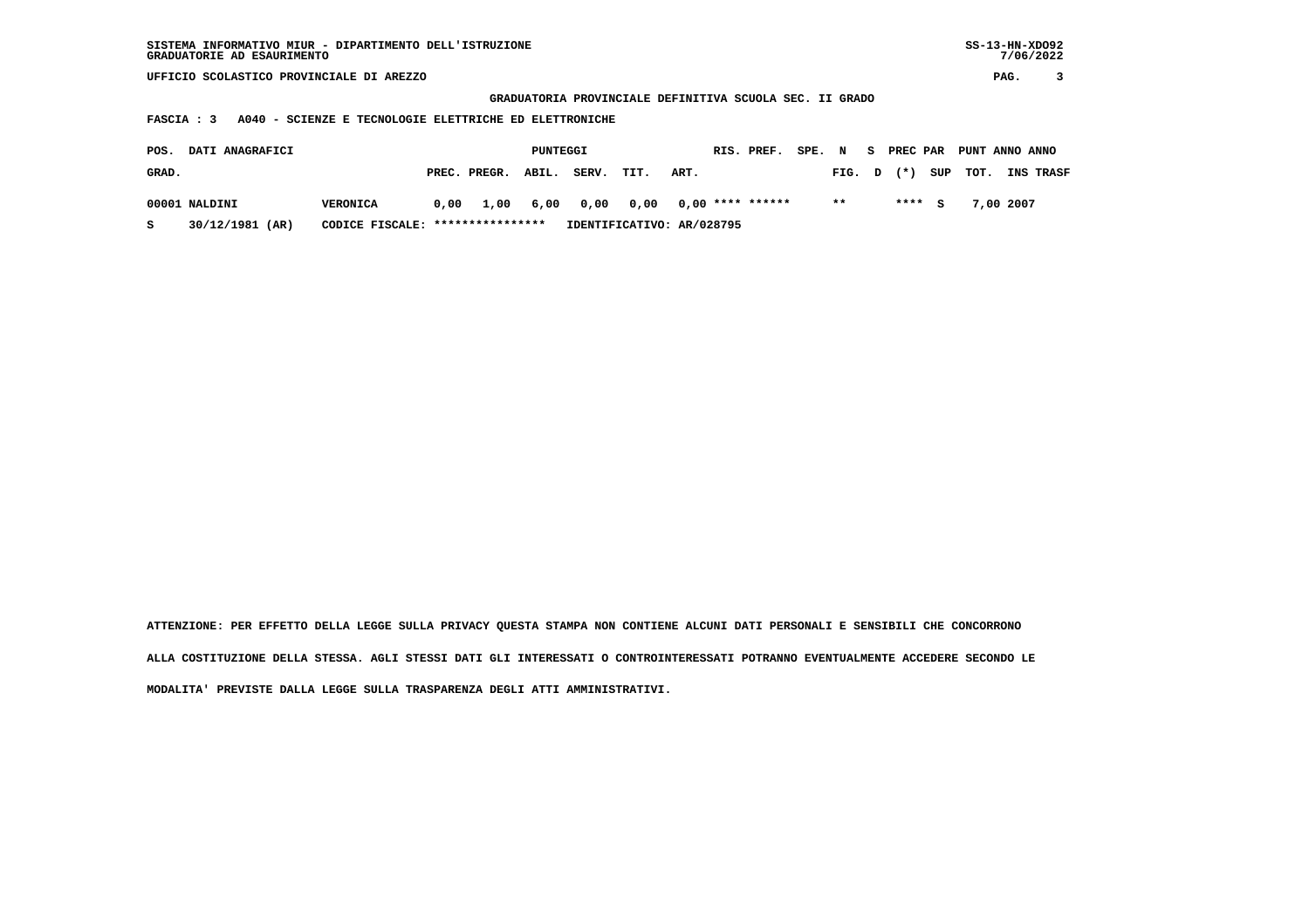| SISTEMA INFORMATIVO MIUR - DIPARTIMENTO DELL'ISTRUZIONE | $SS-13-HN-XDO92$ |
|---------------------------------------------------------|------------------|
| GRADUATORIE AD ESAURIMENTO                              | 7/06/2022        |

 **GRADUATORIA PROVINCIALE DEFINITIVA SCUOLA SEC. II GRADO**

 **FASCIA : 3 A040 - SCIENZE E TECNOLOGIE ELETTRICHE ED ELETTRONICHE**

| POS.  | <b>DATI ANAGRAFICI</b> |                                  |      |                    | PUNTEGGI |       |      |                                      | RIS. PREF. | SPE. N |        | - S | PREC PAR |        | PUNT ANNO ANNO |           |                  |
|-------|------------------------|----------------------------------|------|--------------------|----------|-------|------|--------------------------------------|------------|--------|--------|-----|----------|--------|----------------|-----------|------------------|
| GRAD. |                        |                                  |      | PREC. PREGR. ABIL. |          | SERV. | TIT. | ART.                                 |            |        | FIG. D |     | $(* )$   |        | SUP TOT.       |           | <b>INS TRASF</b> |
|       | 00001 NALDINI          | <b>VERONICA</b>                  | 0,00 |                    |          |       |      | 1,00 6,00 0,00 0,00 0,00 **** ****** |            |        | $* *$  |     |          | **** S |                | 7,00 2007 |                  |
| s     | 30/12/1981 (AR)        | CODICE FISCALE: **************** |      |                    |          |       |      | IDENTIFICATIVO: AR/028795            |            |        |        |     |          |        |                |           |                  |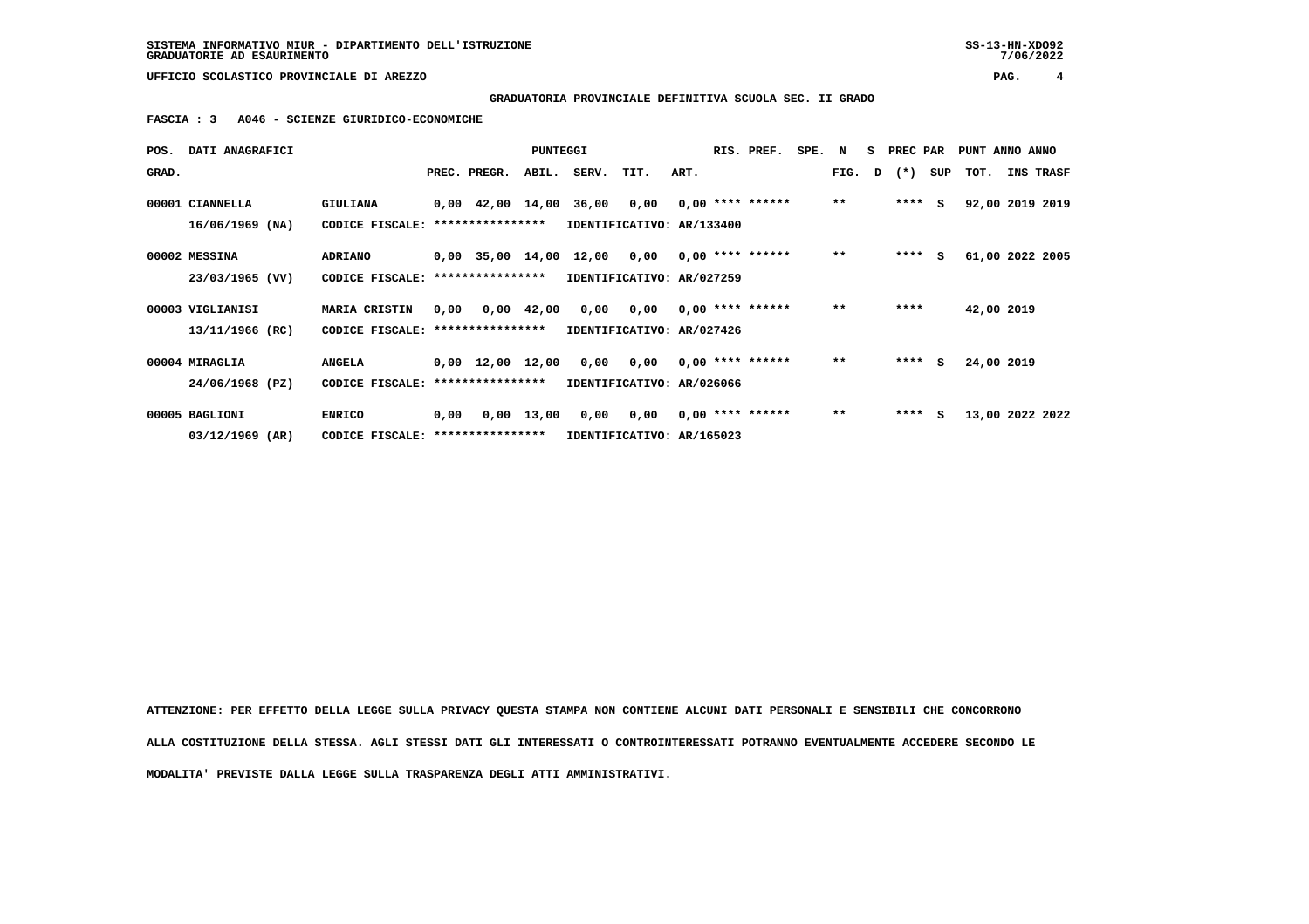## **GRADUATORIA PROVINCIALE DEFINITIVA SCUOLA SEC. II GRADO**

 **FASCIA : 3 A046 - SCIENZE GIURIDICO-ECONOMICHE**

| POS.  | <b>DATI ANAGRAFICI</b> |                                   |      |                                                | <b>PUNTEGGI</b> |                           |                                        |      | RIS. PREF.         | SPE. N |       | S PREC PAR |     |            | PUNT ANNO ANNO  |
|-------|------------------------|-----------------------------------|------|------------------------------------------------|-----------------|---------------------------|----------------------------------------|------|--------------------|--------|-------|------------|-----|------------|-----------------|
| GRAD. |                        |                                   |      | PREC. PREGR.                                   | ABIL.           | SERV.                     | TIT.                                   | ART. |                    |        | FIG.  | D (*)      | SUP | тот.       | INS TRASF       |
|       | 00001 CIANNELLA        | GIULIANA                          |      | $0,00$ 42,00 14,00 36,00 0,00 0,00 **** ****** |                 |                           |                                        |      |                    |        | $***$ | $***$ S    |     |            | 92,00 2019 2019 |
|       | 16/06/1969 (NA)        | CODICE FISCALE:                   |      | ****************                               |                 | IDENTIFICATIVO: AR/133400 |                                        |      |                    |        |       |            |     |            |                 |
|       | 00002 MESSINA          | ADRIANO                           |      | $0,00$ 35,00 14,00 12,00 0,00 0,00 **** ****** |                 |                           |                                        |      |                    |        | $***$ | ****       | s   |            | 61,00 2022 2005 |
|       | 23/03/1965 (VV)        | CODICE FISCALE:                   |      | ****************                               |                 | IDENTIFICATIVO: AR/027259 |                                        |      |                    |        |       |            |     |            |                 |
|       | 00003 VIGLIANISI       | <b>MARIA CRISTIN</b>              | 0,00 |                                                | 0,00 42,00      |                           | $0,00$ $0,00$ $0,00$ $***$ **** ****** |      |                    |        | $* *$ | ****       |     | 42,00 2019 |                 |
|       | 13/11/1966 (RC)        | CODICE FISCALE: ****************  |      |                                                |                 | IDENTIFICATIVO: AR/027426 |                                        |      |                    |        |       |            |     |            |                 |
|       | 00004 MIRAGLIA         | <b>ANGELA</b>                     |      | $0,00 \quad 12,00 \quad 12,00$                 |                 |                           | $0,00$ $0,00$ $0,00$ $***$ **** ****** |      |                    |        | $***$ | ****       | S.  | 24,00 2019 |                 |
|       | 24/06/1968 (PZ)        | CODICE FISCALE:                   |      | ****************                               |                 | IDENTIFICATIVO: AR/026066 |                                        |      |                    |        |       |            |     |            |                 |
|       | 00005 BAGLIONI         | <b>ENRICO</b>                     | 0,00 |                                                | 0,00 13,00      |                           | 0,00 0,00                              |      | $0,00$ **** ****** |        | $***$ | ****       | s   |            | 13,00 2022 2022 |
|       | $03/12/1969$ (AR)      | CODICE FISCALE: ***************** |      |                                                |                 | IDENTIFICATIVO: AR/165023 |                                        |      |                    |        |       |            |     |            |                 |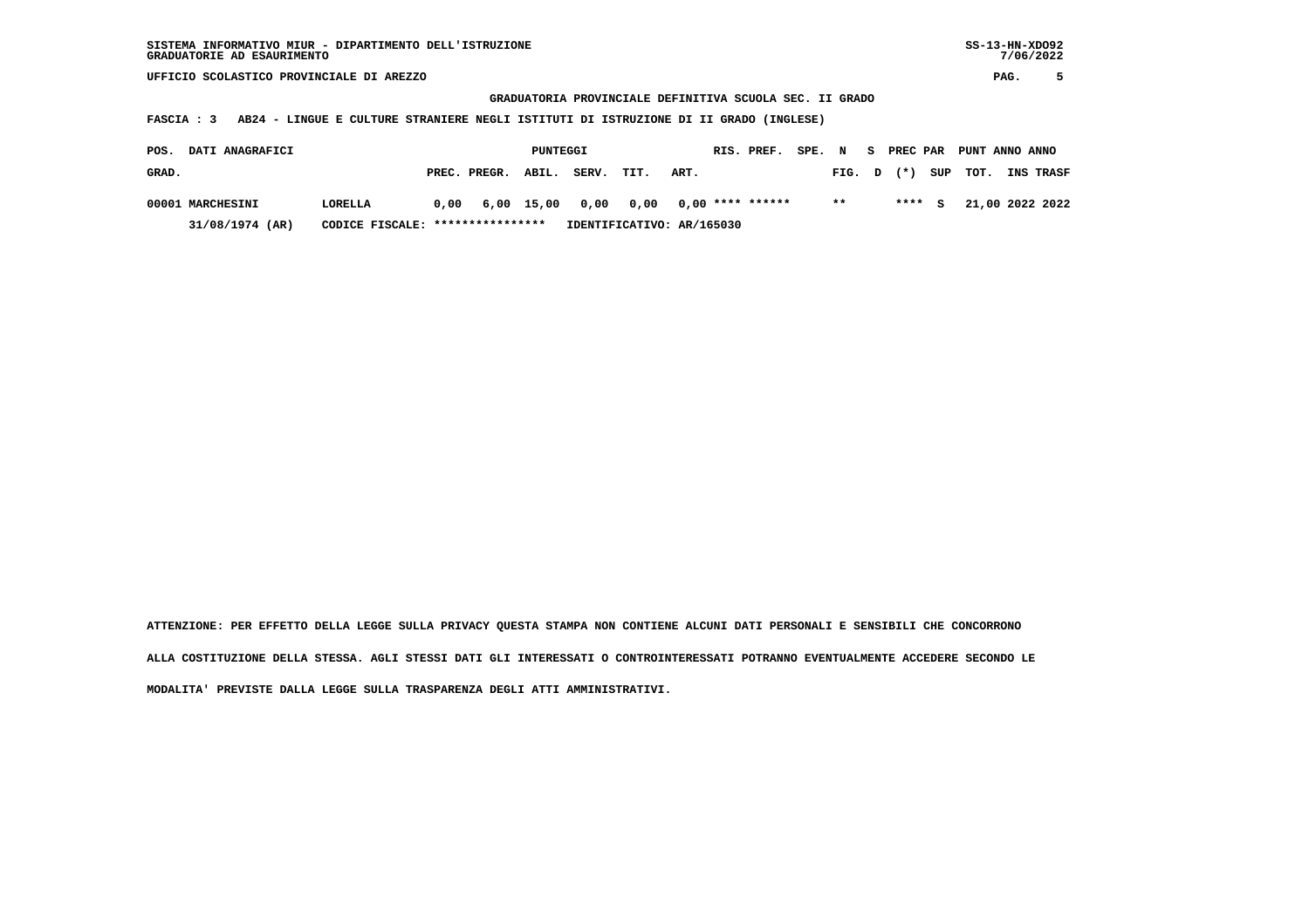**GRADUATORIA PROVINCIALE DEFINITIVA SCUOLA SEC. II GRADO**

 **FASCIA : 3 AB24 - LINGUE E CULTURE STRANIERE NEGLI ISTITUTI DI ISTRUZIONE DI II GRADO (INGLESE)**

| POS.  | <b>DATI ANAGRAFICI</b> |                                  |                                              | PUNTEGGI |                           |      |      | RIS. PREF. | SPE. N |        |        | S PREC PAR PUNT ANNO ANNO |                  |
|-------|------------------------|----------------------------------|----------------------------------------------|----------|---------------------------|------|------|------------|--------|--------|--------|---------------------------|------------------|
| GRAD. |                        |                                  | PREC. PREGR. ABIL.                           |          | SERV.                     | TIT. | ART. |            |        | FIG. D | $(* )$ | SUP TOT.                  | <b>INS TRASF</b> |
|       | 00001 MARCHESINI       | LORELLA                          | $0,00$ 6,00 15,00 0,00 0,00 0,00 **** ****** |          |                           |      |      |            |        | $* *$  | **** S |                           | 21,00 2022 2022  |
|       | 31/08/1974 (AR)        | CODICE FISCALE: **************** |                                              |          | IDENTIFICATIVO: AR/165030 |      |      |            |        |        |        |                           |                  |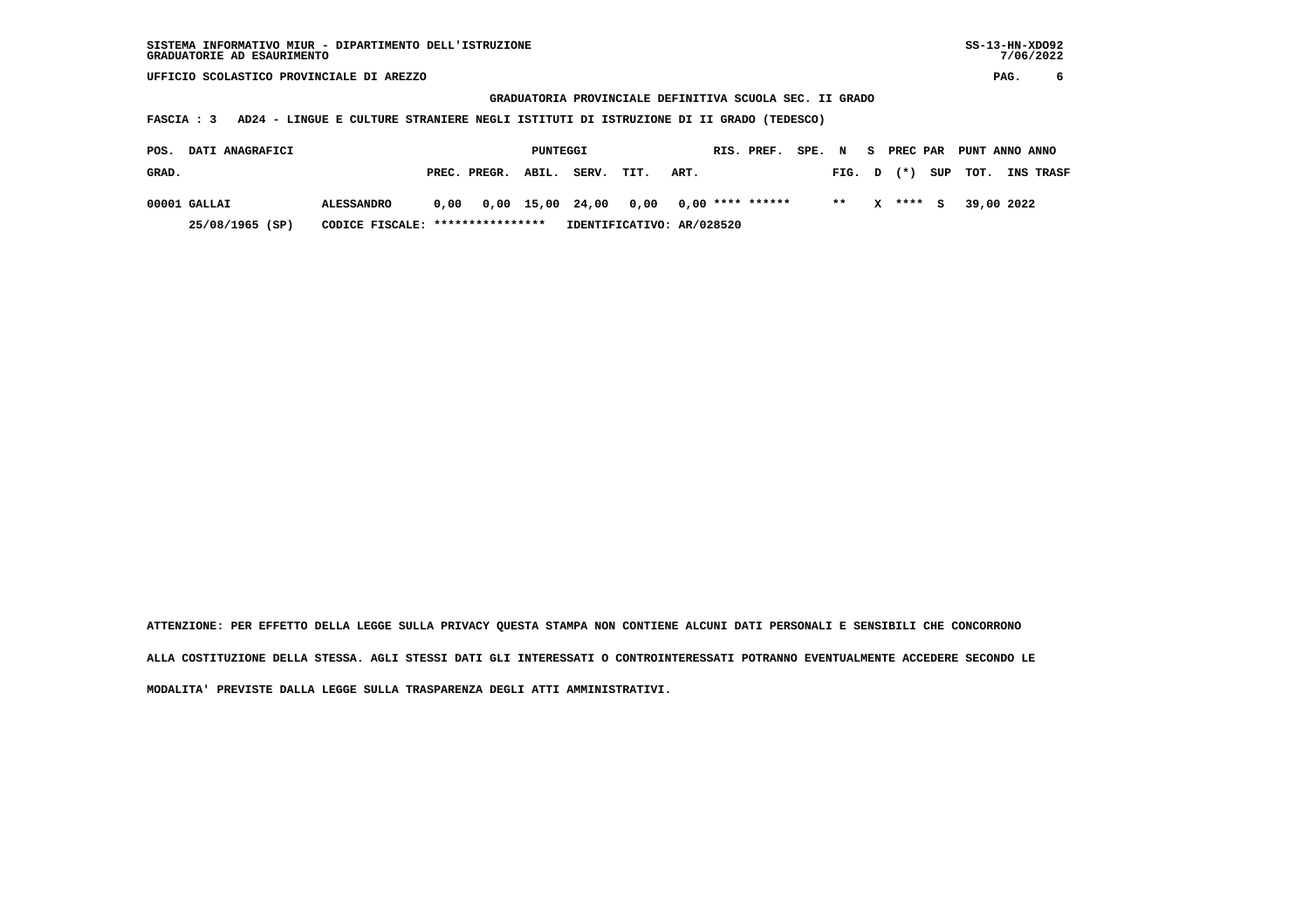**GRADUATORIA PROVINCIALE DEFINITIVA SCUOLA SEC. II GRADO**

 **FASCIA : 3 AD24 - LINGUE E CULTURE STRANIERE NEGLI ISTITUTI DI ISTRUZIONE DI II GRADO (TEDESCO)**

| POS.  | <b>DATI ANAGRAFICI</b> |                                  |                                                   | PUNTEGGI |       |                           |      | RIS. PREF. | SPE. N |       |          | S PREC PAR PUNT ANNO ANNO |                  |
|-------|------------------------|----------------------------------|---------------------------------------------------|----------|-------|---------------------------|------|------------|--------|-------|----------|---------------------------|------------------|
| GRAD. |                        |                                  | PREC. PREGR. ABIL.                                |          | SERV. | TIT.                      | ART. |            |        |       |          | FIG. $D$ $(*)$ SUP TOT.   | <b>INS TRASF</b> |
|       | $00001$ GALLAI         | <b>ALESSANDRO</b>                | $0,00$ $0,00$ $15,00$ $24,00$ $0,00$ $0,00$ $***$ |          |       |                           |      |            |        | $***$ | X **** S | 39,00 2022                |                  |
|       | 25/08/1965 (SP)        | CODICE FISCALE: **************** |                                                   |          |       | IDENTIFICATIVO: AR/028520 |      |            |        |       |          |                           |                  |